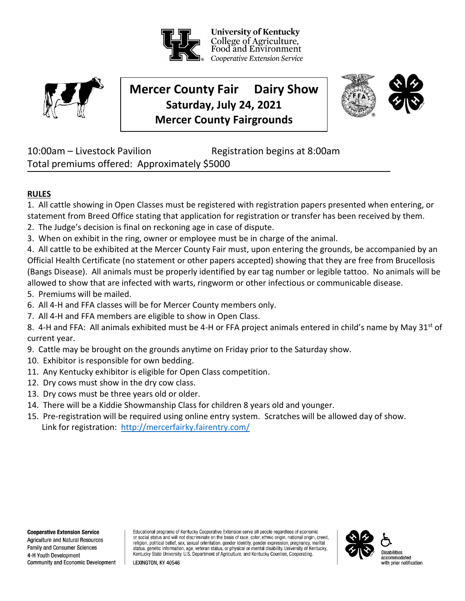University of Kentucky College of Agriculture, Food and Environment Cooperative Extension Service



# **Mercer County Fair Dairy Show Saturday, July 24, 2021 Mercer County Fairgrounds**



10:00am – Livestock Pavilion Registration begins at 8:00am Total premiums offered: Approximately \$5000

# **RULES**

1. All cattle showing in Open Classes must be registered with registration papers presented when entering, or statement from Breed Office stating that application for registration or transfer has been received by them.

- 2. The Judge's decision is final on reckoning age in case of dispute.
- 3. When on exhibit in the ring, owner or employee must be in charge of the animal.

4. All cattle to be exhibited at the Mercer County Fair must, upon entering the grounds, be accompanied by an Official Health Certificate (no statement or other papers accepted) showing that they are free from Brucellosis (Bangs Disease). All animals must be properly identified by ear tag number or legible tattoo. No animals will be allowed to show that are infected with warts, ringworm or other infectious or communicable disease.

- 5. Premiums will be mailed.
- 6. All 4-H and FFA classes will be for Mercer County members only.
- 7. All 4-H and FFA members are eligible to show in Open Class.
- 8. 4-H and FFA: All animals exhibited must be 4-H or FFA project animals entered in child's name by May 31<sup>st</sup> of current year.
- 9. Cattle may be brought on the grounds anytime on Friday prior to the Saturday show.
- 10. Exhibitor is responsible for own bedding.
- 11. Any Kentucky exhibitor is eligible for Open Class competition.

LEXINGTON. KY 40546

- 12. Dry cows must show in the dry cow class.
- 13. Dry cows must be three years old or older.
- 14. There will be a Kiddie Showmanship Class for children 8 years old and younger.
- 15. Pre-registration will be required using online entry system. Scratches will be allowed day of show. Link for registration: <http://mercerfairky.fairentry.com/>

**Agriculture and Natural Resources** Family and Consumer Sciences 4-H Youth Development Community and Economic Development Educational programs of Kentucky Cooperative Extension serve all people regardless of economic or social status and will not discriminate on the basis of race, color, ethnic origin, national origin, creed, religion, political belief, sex, sexual orientation, gender identity, gender expression, pregnancy, marital status, genetic information, age, veteran status, or physical or mental disability. University of Kentucky, Kentucky State University, U.S. Department of Agriculture, and Kentucky Counties, Cooperating.